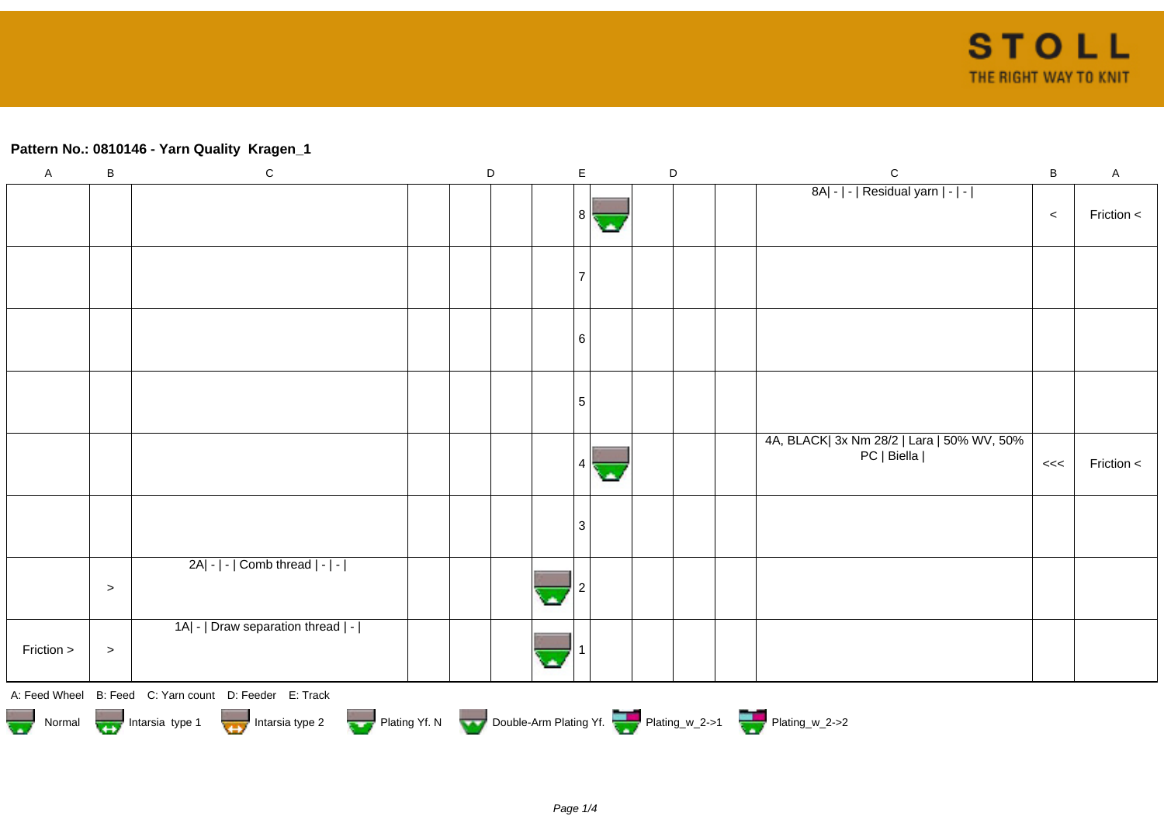## **Pattern No.: 0810146 - Yarn Quality Kragen\_1**

| $\sf A$    | $\sf B$                                                                                                                                          | $\mathbf C$                        |  | $\mathsf D$ |  | $\mathsf E$ |  |  | $\mathsf D$ |  | $\mathsf C$                                               | $\sf B$ | $\mathsf A$ |
|------------|--------------------------------------------------------------------------------------------------------------------------------------------------|------------------------------------|--|-------------|--|-------------|--|--|-------------|--|-----------------------------------------------------------|---------|-------------|
|            |                                                                                                                                                  |                                    |  |             |  | 8           |  |  |             |  | 8A  -   -   Residual yarn   -   -                         | $\,<$   | Friction <  |
|            |                                                                                                                                                  |                                    |  |             |  |             |  |  |             |  |                                                           |         |             |
|            |                                                                                                                                                  |                                    |  |             |  | 6           |  |  |             |  |                                                           |         |             |
|            |                                                                                                                                                  |                                    |  |             |  | $\sqrt{5}$  |  |  |             |  |                                                           |         |             |
|            |                                                                                                                                                  |                                    |  |             |  | 4           |  |  |             |  | 4A, BLACK  3x Nm 28/2   Lara   50% WV, 50%<br>PC   Biella | <<      | Friction <  |
|            |                                                                                                                                                  |                                    |  |             |  | 3           |  |  |             |  |                                                           |         |             |
|            | $\geq$                                                                                                                                           | 2A  -   -   Comb thread   -   -    |  |             |  |             |  |  |             |  |                                                           |         |             |
| Friction > | $\,>$                                                                                                                                            | 1A  -   Draw separation thread   - |  |             |  |             |  |  |             |  |                                                           |         |             |
|            | A: Feed Wheel B: Feed C: Yarn count D: Feeder E: Track<br>Normal <b>Double-Arm Plating Yf. N</b> Double-Arm Plating Yf. N Double-Arm Plating Yf. |                                    |  |             |  |             |  |  |             |  |                                                           |         |             |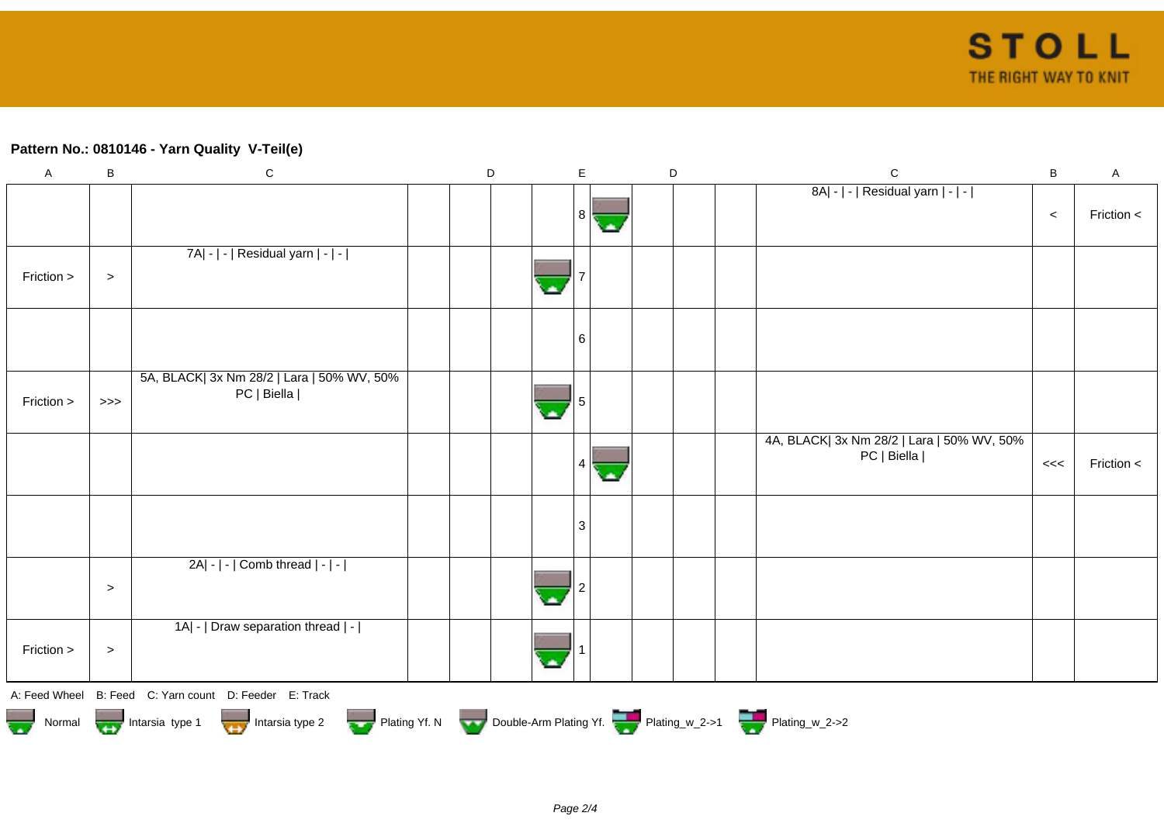## **Pattern No.: 0810146 - Yarn Quality V-Teil(e)**

| $\mathsf A$ | $\sf B$   | ${\bf C}$                                                                                                 | $\mathsf D$ | $\mathsf E$ | $\mathsf D$ | $\mathbf C$                                               | B     | A          |
|-------------|-----------|-----------------------------------------------------------------------------------------------------------|-------------|-------------|-------------|-----------------------------------------------------------|-------|------------|
|             |           |                                                                                                           |             | 8           |             | 8A  -   -   Residual yarn   -   -                         | $\,<$ | Friction < |
| Friction >  | $\, >$    | 7A  -   -   Residual yarn   -   -                                                                         |             |             |             |                                                           |       |            |
|             |           |                                                                                                           |             | 6           |             |                                                           |       |            |
| Friction >  | $>>>$     | 5A, BLACK  3x Nm 28/2   Lara   50% WV, 50%<br>PC   Biella                                                 |             |             |             |                                                           |       |            |
|             |           |                                                                                                           |             |             |             | 4A, BLACK  3x Nm 28/2   Lara   50% WV, 50%<br>PC   Biella | $<<$  | Friction < |
|             |           |                                                                                                           |             | 3           |             |                                                           |       |            |
|             | $\, > \,$ | 2A  -   -   Comb thread   -   -                                                                           |             |             |             |                                                           |       |            |
| Friction >  | $\, >$    | 1A  -   Draw separation thread   -                                                                        |             |             |             |                                                           |       |            |
|             |           | A: Feed Wheel B: Feed C: Yarn count D: Feeder E: Track                                                    |             |             |             |                                                           |       |            |
|             |           | Normal Intarsia type 1 Intarsia type 2 Plating Yf. N Double-Arm Plating Yf. Plating_w_2->1 Plating_w_2->2 |             |             |             |                                                           |       |            |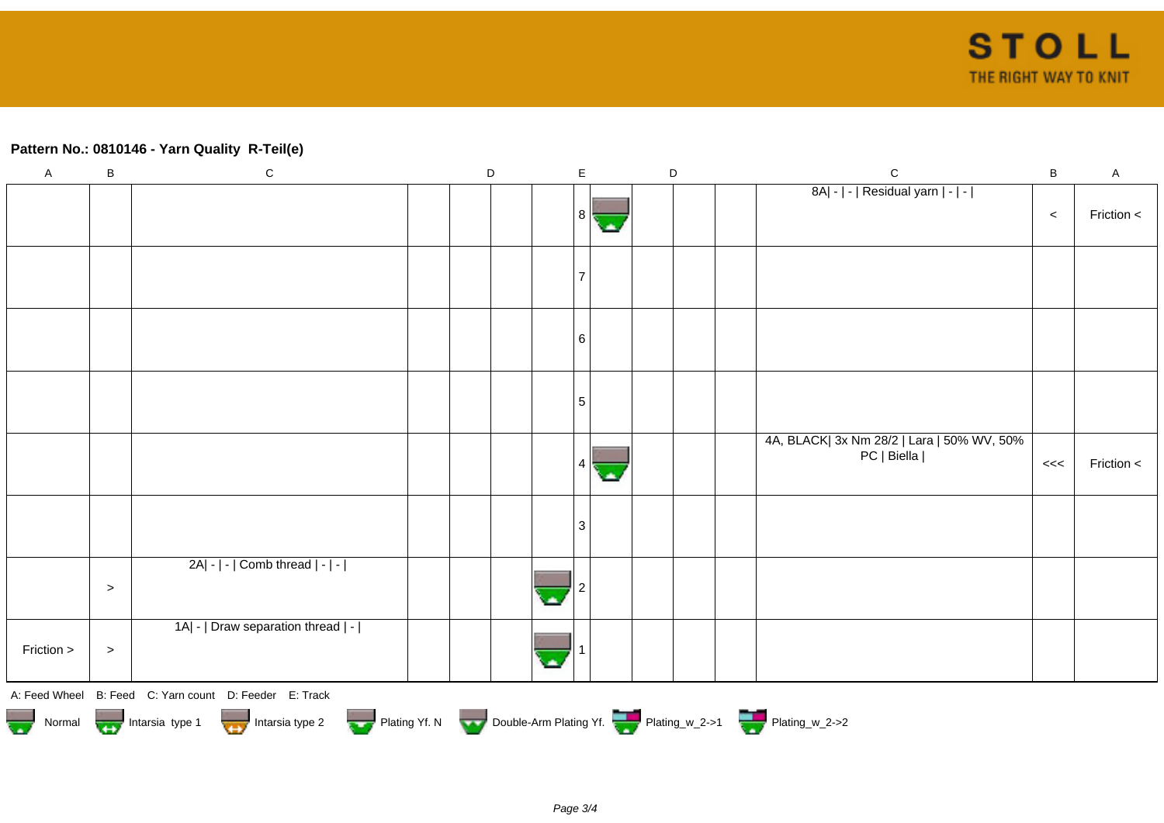## **Pattern No.: 0810146 - Yarn Quality R-Teil(e)**

| $\mathsf A$ | $\sf B$   | $\mathbf C$                                                                                                                                    | $\mathsf D$ | $\mathsf E$ | $\mathsf D$ | $\mathsf{C}$                                              | $\sf B$ | $\mathsf A$ |
|-------------|-----------|------------------------------------------------------------------------------------------------------------------------------------------------|-------------|-------------|-------------|-----------------------------------------------------------|---------|-------------|
|             |           |                                                                                                                                                |             | 81          |             | 8A  -   -   Residual yarn   -   -                         | $\,<$   | Friction <  |
|             |           |                                                                                                                                                |             |             |             |                                                           |         |             |
|             |           |                                                                                                                                                |             | 6           |             |                                                           |         |             |
|             |           |                                                                                                                                                |             | 5           |             |                                                           |         |             |
|             |           |                                                                                                                                                |             |             |             | 4A, BLACK  3x Nm 28/2   Lara   50% WV, 50%<br>PC   Biella | <<      | Friction <  |
|             |           |                                                                                                                                                |             | 3           |             |                                                           |         |             |
|             | $\, > \,$ | 2A  -   -   Comb thread   -   -                                                                                                                |             |             |             |                                                           |         |             |
| Friction >  | $\, >$    | 1A  -   Draw separation thread   -                                                                                                             |             |             |             |                                                           |         |             |
|             |           | A: Feed Wheel B: Feed C: Yarn count D: Feeder E: Track<br>Normal Montain Strategy Intarsia type 2 but are Plating Yf. N Double-Arm Plating Yf. |             |             |             |                                                           |         |             |